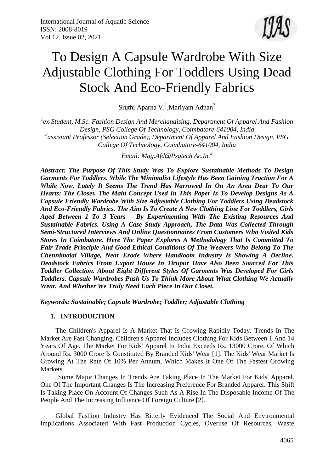

# To Design A Capsule Wardrobe With Size Adjustable Clothing For Toddlers Using Dead Stock And Eco-Friendly Fabrics

Sruthi Aparna V.<sup>1</sup>, Mariyam Adnan<sup>2</sup>

<sup>1</sup> ex-Student, M.Sc. Fashion Design And Merchandising, Department Of Apparel And Fashion *Design, PSG College Of Technology, Coimbatore-641004, India 2 assistant Professor (Selection Grade), Department Of Apparel And Fashion Design, PSG College Of Technology, Coimbatore-641004, India*

*Email: [Mag.Afd@Psgtech.Ac.In.](mailto:Mag.Afd@Psgtech.Ac.In) 2*

*Abstract: The Purpose Of This Study Was To Explore Sustainable Methods To Design Garments For Toddlers. While The Minimalist Lifestyle Has Been Gaining Traction For A While Now, Lately It Seems The Trend Has Narrowed In On An Area Dear To Our Hearts: The Closet. The Main Concept Used In This Paper Is To Develop Designs As A Capsule Friendly Wardrobe With Size Adjustable Clothing For Toddlers Using Deadstock And Eco-Friendly Fabrics. The Aim Is To Create A New Clothing Line For Toddlers, Girls Aged Between 1 To 3 Years By Experimenting With The Existing Resources And Sustainable Fabrics. Using A Case Study Approach, The Data Was Collected Through Semi-Structured Interviews And Online Questionnaires From Customers Who Visited Kids Stores In Coimbatore. Here The Paper Explores A Methodology That Is Committed To Fair-Trade Principle And Good Ethical Conditions Of The Weavers Who Belong To The Chennimalai Village, Near Erode Where Handloom Industry Is Showing A Decline. Deadstock Fabrics From Export House In Tirupur Have Also Been Sourced For This Toddler Collection. About Eight Different Styles Of Garments Was Developed For Girls Toddlers. Capsule Wardrobes Push Us To Think More About What Clothing We Actually Wear, And Whether We Truly Need Each Piece In Our Closet.*

*Keywords: Sustainable; Capsule Wardrobe; Toddler; Adjustable Clothing*

#### **1. INTRODUCTION**

The Children's Apparel Is A Market That Is Growing Rapidly Today. Trends In The Market Are Fast Changing. Children's Apparel Includes Clothing For Kids Between 1 And 14 Years Of Age. The Market For Kids' Apparel In India Exceeds Rs. 13000 Crore, Of Which Around Rs. 3000 Crore Is Constituted By Branded Kids' Wear [1]. The Kids' Wear Market Is Growing At The Rate Of 10% Per Annum, Which Makes It One Of The Fastest Growing Markets.

Some Major Changes In Trends Are Taking Place In The Market For Kids' Apparel. One Of The Important Changes Is The Increasing Preference For Branded Apparel. This Shift Is Taking Place On Account Of Changes Such As A Rise In The Disposable Income Of The People And The Increasing Influence Of Foreign Culture [2].

Global Fashion Industry Has Bitterly Evidenced The Social And Environmental Implications Associated With Fast Production Cycles, Overuse Of Resources, Waste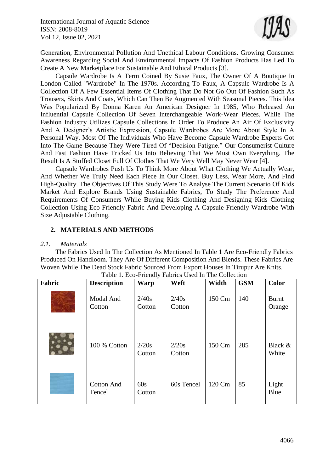

Generation, Environmental Pollution And Unethical Labour Conditions. Growing Consumer Awareness Regarding Social And Environmental Impacts Of Fashion Products Has Led To Create A New Marketplace For Sustainable And Ethical Products [3].

Capsule Wardrobe Is A Term Coined By Susie Faux, The Owner Of A Boutique In London Called "Wardrobe" In The 1970s. According To Faux, A Capsule Wardrobe Is A Collection Of A Few Essential Items Of Clothing That Do Not Go Out Of Fashion Such As Trousers, Skirts And Coats, Which Can Then Be Augmented With Seasonal Pieces. This Idea Was Popularized By Donna Karen An American Designer In 1985, Who Released An Influential Capsule Collection Of Seven Interchangeable Work-Wear Pieces. While The Fashion Industry Utilizes Capsule Collections In Order To Produce An Air Of Exclusivity And A Designer's Artistic Expression, Capsule Wardrobes Are More About Style In A Personal Way. Most Of The Individuals Who Have Become Capsule Wardrobe Experts Got Into The Game Because They Were Tired Of "Decision Fatigue." Our Consumerist Culture And Fast Fashion Have Tricked Us Into Believing That We Must Own Everything. The Result Is A Stuffed Closet Full Of Clothes That We Very Well May Never Wear [4].

Capsule Wardrobes Push Us To Think More About What Clothing We Actually Wear, And Whether We Truly Need Each Piece In Our Closet. Buy Less, Wear More, And Find High-Quality. The Objectives Of This Study Were To Analyse The Current Scenario Of Kids Market And Explore Brands Using Sustainable Fabrics, To Study The Preference And Requirements Of Consumers While Buying Kids Clothing And Designing Kids Clothing Collection Using Eco-Friendly Fabric And Developing A Capsule Friendly Wardrobe With Size Adjustable Clothing.

#### **2. MATERIALS AND METHODS**

#### *2.1. Materials*

The Fabrics Used In The Collection As Mentioned In Table 1 Are Eco-Friendly Fabrics Produced On Handloom. They Are Of Different Composition And Blends. These Fabrics Are Woven While The Dead Stock Fabric Sourced From Export Houses In Tirupur Are Knits.

| Fabric | <b>Description</b>          | Warp            | Weft            | Width  | <b>GSM</b> | <b>Color</b>           |
|--------|-----------------------------|-----------------|-----------------|--------|------------|------------------------|
|        | Modal And<br>Cotton         | 2/40s<br>Cotton | 2/40s<br>Cotton | 150 Cm | 140        | <b>Burnt</b><br>Orange |
|        | 100 % Cotton                | 2/20s<br>Cotton | 2/20s<br>Cotton | 150 Cm | 285        | Black &<br>White       |
|        | <b>Cotton And</b><br>Tencel | 60s<br>Cotton   | 60s Tencel      | 120 Cm | 85         | Light<br>Blue          |

Table 1. Eco-Friendly Fabrics Used In The Collection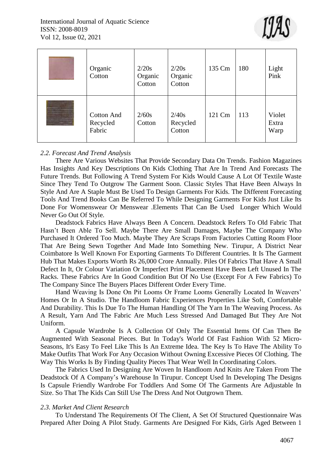

| Organic<br>Cotton                       | 2/20s<br>Organic<br>Cotton | 2/20s<br>Organic<br>Cotton  | 135 Cm | 180 | Light<br>Pink           |
|-----------------------------------------|----------------------------|-----------------------------|--------|-----|-------------------------|
| <b>Cotton And</b><br>Recycled<br>Fabric | 2/60s<br>Cotton            | 2/40s<br>Recycled<br>Cotton | 121 Cm | 113 | Violet<br>Extra<br>Warp |

#### *2.2. Forecast And Trend Analysis*

There Are Various Websites That Provide Secondary Data On Trends. Fashion Magazines Has Insights And Key Descriptions On Kids Clothing That Are In Trend And Forecasts The Future Trends. But Following A Trend System For Kids Would Cause A Lot Of Textile Waste Since They Tend To Outgrow The Garment Soon. Classic Styles That Have Been Always In Style And Are A Staple Must Be Used To Design Garments For Kids. The Different Forecasting Tools And Trend Books Can Be Referred To While Designing Garments For Kids Just Like Its Done For Womenswear Or Menswear .Elements That Can Be Used Longer Which Would Never Go Out Of Style.

Deadstock Fabrics Have Always Been A Concern. Deadstock Refers To Old Fabric That Hasn't Been Able To Sell. Maybe There Are Small Damages, Maybe The Company Who Purchased It Ordered Too Much. Maybe They Are Scraps From Factories Cutting Room Floor That Are Being Sewn Together And Made Into Something New. Tirupur, A District Near Coimbatore Is Well Known For Exporting Garments To Different Countries. It Is The Garment Hub That Makes Exports Worth Rs 26,000 Crore Annually. Piles Of Fabrics That Have A Small Defect In It, Or Colour Variation Or Imperfect Print Placement Have Been Left Unused In The Racks. These Fabrics Are In Good Condition But Of No Use (Except For A Few Fabrics) To The Company Since The Buyers Places Different Order Every Time.

Hand Weaving Is Done On Pit Looms Or Frame Looms Generally Located In Weavers' Homes Or In A Studio. The Handloom Fabric Experiences Properties Like Soft, Comfortable And Durability. This Is Due To The Human Handling Of The Yarn In The Weaving Process. As A Result, Yarn And The Fabric Are Much Less Stressed And Damaged But They Are Not Uniform.

A Capsule Wardrobe Is A Collection Of Only The Essential Items Of Can Then Be Augmented With Seasonal Pieces. But In Today's World Of Fast Fashion With 52 Micro-Seasons, It's Easy To Feel Like This Is An Extreme Idea. The Key Is To Have The Ability To Make Outfits That Work For Any Occasion Without Owning Excessive Pieces Of Clothing. The Way This Works Is By Finding Quality Pieces That Wear Well In Coordinating Colors.

The Fabrics Used In Designing Are Woven In Handloom And Knits Are Taken From The Deadstock Of A Company's Warehouse In Tirupur. Concept Used In Developing The Designs Is Capsule Friendly Wardrobe For Toddlers And Some Of The Garments Are Adjustable In Size. So That The Kids Can Still Use The Dress And Not Outgrown Them.

#### *2.3. Market And Client Research*

To Understand The Requirements Of The Client, A Set Of Structured Questionnaire Was Prepared After Doing A Pilot Study. Garments Are Designed For Kids, Girls Aged Between 1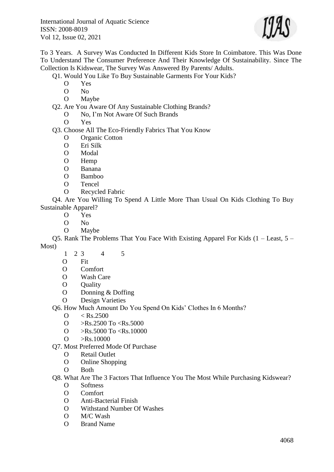

To 3 Years. A Survey Was Conducted In Different Kids Store In Coimbatore. This Was Done To Understand The Consumer Preference And Their Knowledge Of Sustainability. Since The Collection Is Kidswear, The Survey Was Answered By Parents/ Adults.

Q1. Would You Like To Buy Sustainable Garments For Your Kids?

- O Yes
- O No
- O Maybe
- Q2. Are You Aware Of Any Sustainable Clothing Brands?
	- O No, I'm Not Aware Of Such Brands
	- O Yes

Q3. Choose All The Eco-Friendly Fabrics That You Know

- O Organic Cotton
- O Eri Silk
- O Modal
- O Hemp
- O Banana
- O Bamboo
- O Tencel
- O Recycled Fabric

Q4. Are You Willing To Spend A Little More Than Usual On Kids Clothing To Buy Sustainable Apparel?

- O Yes
- O No
- O Maybe

Q5. Rank The Problems That You Face With Existing Apparel For Kids (1 – Least, 5 – Most)

- 1 2 3 4 5
- O Fit
- O Comfort
- O Wash Care
- O Quality
- O Donning & Doffing
- O Design Varieties

Q6. How Much Amount Do You Spend On Kids' Clothes In 6 Months?

- $O \leq Rs.2500$
- O  $>Rs.2500$  To  $\langle$ Rs.5000
- O  $>Rs.5000$  To  $\langle$ Rs.10000
- $O > Rs.10000$
- Q7. Most Preferred Mode Of Purchase
	- O Retail Outlet
	- O Online Shopping
	- O Both

Q8. What Are The 3 Factors That Influence You The Most While Purchasing Kidswear?

- O Softness
- O Comfort
- O Anti-Bacterial Finish
- O Withstand Number Of Washes
- O M/C Wash
- O Brand Name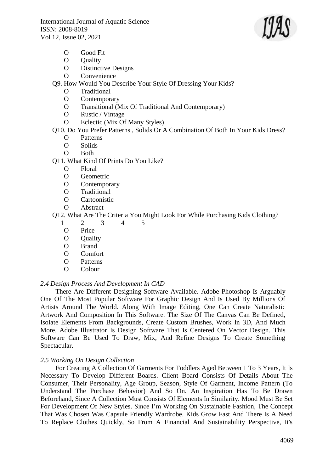

- O Good Fit
- O Ouality
- O Distinctive Designs
- O Convenience

Q9. How Would You Describe Your Style Of Dressing Your Kids?

- O Traditional
- O Contemporary
- O Transitional (Mix Of Traditional And Contemporary)
- O Rustic / Vintage
- O Eclectic (Mix Of Many Styles)

## Q10. Do You Prefer Patterns , Solids Or A Combination Of Both In Your Kids Dress?

- O Patterns
- O Solids
- O Both
- Q11. What Kind Of Prints Do You Like?
	- O Floral
	- O Geometric
	- O Contemporary
	- O Traditional
	- O Cartoonistic
	- O Abstract

# Q12. What Are The Criteria You Might Look For While Purchasing Kids Clothing?

- 1 2 3 4 5
- O Price
- O Ouality
- O Brand
- O Comfort
- O Patterns
- O Colour

#### *2.4 Design Process And Development In CAD*

There Are Different Designing Software Available. Adobe Photoshop Is Arguably One Of The Most Popular Software For Graphic Design And Is Used By Millions Of Artists Around The World. Along With Image Editing, One Can Create Naturalistic Artwork And Composition In This Software. The Size Of The Canvas Can Be Defined, Isolate Elements From Backgrounds, Create Custom Brushes, Work In 3D, And Much More. Adobe Illustrator Is Design Software That Is Centered On Vector Design. This Software Can Be Used To Draw, Mix, And Refine Designs To Create Something Spectacular.

#### *2.5 Working On Design Collection*

For Creating A Collection Of Garments For Toddlers Aged Between 1 To 3 Years, It Is Necessary To Develop Different Boards. Client Board Consists Of Details About The Consumer, Their Personality, Age Group, Season, Style Of Garment, Income Pattern (To Understand The Purchase Behavior) And So On. An Inspiration Has To Be Drawn Beforehand, Since A Collection Must Consists Of Elements In Similarity. Mood Must Be Set For Development Of New Styles. Since I'm Working On Sustainable Fashion, The Concept That Was Chosen Was Capsule Friendly Wardrobe. Kids Grow Fast And There Is A Need To Replace Clothes Quickly, So From A Financial And Sustainability Perspective, It's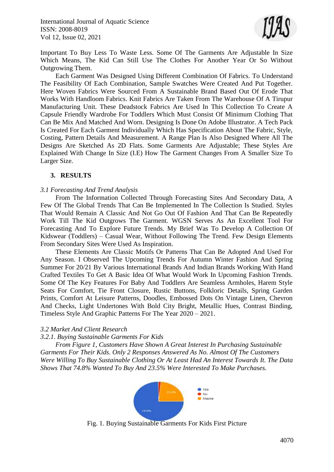

Important To Buy Less To Waste Less. Some Of The Garments Are Adjustable In Size Which Means, The Kid Can Still Use The Clothes For Another Year Or So Without Outgrowing Them.

Each Garment Was Designed Using Different Combination Of Fabrics. To Understand The Feasibility Of Each Combination, Sample Swatches Were Created And Put Together. Here Woven Fabrics Were Sourced From A Sustainable Brand Based Out Of Erode That Works With Handloom Fabrics. Knit Fabrics Are Taken From The Warehouse Of A Tirupur Manufacturing Unit. These Deadstock Fabrics Are Used In This Collection To Create A Capsule Friendly Wardrobe For Toddlers Which Must Consist Of Minimum Clothing That Can Be Mix And Matched And Worn. Designing Is Done On Adobe Illustrator. A Tech Pack Is Created For Each Garment Individually Which Has Specification About The Fabric, Style, Costing, Pattern Details And Measurement. A Range Plan Is Also Designed Where All The Designs Are Sketched As 2D Flats. Some Garments Are Adjustable; These Styles Are Explained With Change In Size (I.E) How The Garment Changes From A Smaller Size To Larger Size.

#### **3. RESULTS**

#### *3.1 Forecasting And Trend Analysis*

From The Information Collected Through Forecasting Sites And Secondary Data, A Few Of The Global Trends That Can Be Implemented In The Collection Is Studied. Styles That Would Remain A Classic And Not Go Out Of Fashion And That Can Be Repeatedly Work Till The Kid Outgrows The Garment. WGSN Serves As An Excellent Tool For Forecasting And To Explore Future Trends. My Brief Was To Develop A Collection Of Kidswear (Toddlers) – Casual Wear, Without Following The Trend. Few Design Elements From Secondary Sites Were Used As Inspiration.

These Elements Are Classic Motifs Or Patterns That Can Be Adopted And Used For Any Season. I Observed The Upcoming Trends For Autumn Winter Fashion And Spring Summer For 20/21 By Various International Brands And Indian Brands Working With Hand Crafted Textiles To Get A Basic Idea Of What Would Work In Upcoming Fashion Trends. Some Of The Key Features For Baby And Toddlers Are Seamless Armholes, Harem Style Seats For Comfort, Tie Front Closure, Rustic Buttons, Folkloric Details, Spring Garden Prints, Comfort At Leisure Patterns, Doodles, Embossed Dots On Vintage Linen, Chevron And Checks, Light Undertones With Bold City Bright, Metallic Hues, Contrast Binding, Timeless Style And Graphic Patterns For The Year 2020 – 2021.

#### *3.2 Market And Client Research*

#### *3.2.1. Buying Sustainable Garments For Kids*

*From Figure 1, Customers Have Shown A Great Interest In Purchasing Sustainable Garments For Their Kids. Only 2 Responses Answered As No. Almost Of The Customers Were Willing To Buy Sustainable Clothing Or At Least Had An Interest Towards It. The Data Shows That 74.8% Wanted To Buy And 23.5% Were Interested To Make Purchases.*



Fig. 1. Buying Sustainable Garments For Kids First Picture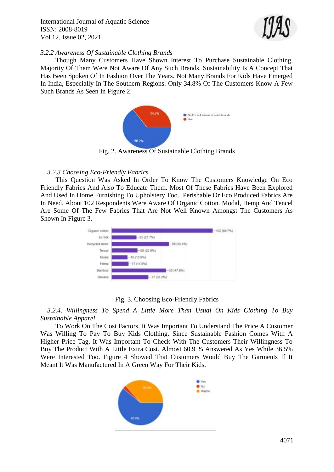

#### *3.2.2 Awareness Of Sustainable Clothing Brands*

Though Many Customers Have Shown Interest To Purchase Sustainable Clothing, Majority Of Them Were Not Aware Of Any Such Brands. Sustainability Is A Concept That Has Been Spoken Of In Fashion Over The Years. Not Many Brands For Kids Have Emerged In India, Especially In The Southern Regions. Only 34.8% Of The Customers Know A Few Such Brands As Seen In Figure 2.



Fig. 2. Awareness Of Sustainable Clothing Brands

#### *3.2.3 Choosing Eco-Friendly Fabrics*

This Question Was Asked In Order To Know The Customers Knowledge On Eco Friendly Fabrics And Also To Educate Them. Most Of These Fabrics Have Been Explored And Used In Home Furnishing To Upholstery Too. Perishable Or Eco Produced Fabrics Are In Need. About 102 Respondents Were Aware Of Organic Cotton. Modal, Hemp And Tencel Are Some Of The Few Fabrics That Are Not Well Known Amongst The Customers As Shown In Figure 3.



Fig. 3. Choosing Eco-Friendly Fabrics

*3.2.4. Willingness To Spend A Little More Than Usual On Kids Clothing To Buy Sustainable Apparel*

To Work On The Cost Factors, It Was Important To Understand The Price A Customer Was Willing To Pay To Buy Kids Clothing. Since Sustainable Fashion Comes With A Higher Price Tag, It Was Important To Check With The Customers Their Willingness To Buy The Product With A Little Extra Cost. Almost 60.9 % Answered As Yes While 36.5% Were Interested Too. Figure 4 Showed That Customers Would Buy The Garments If It Meant It Was Manufactured In A Green Way For Their Kids.

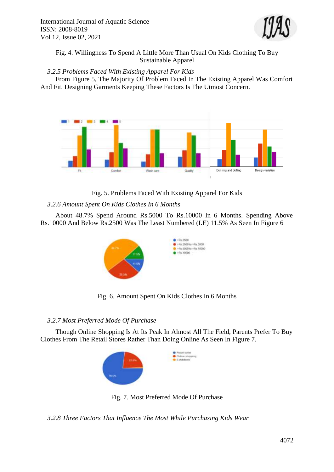

Fig. 4. Willingness To Spend A Little More Than Usual On Kids Clothing To Buy Sustainable Apparel

*3.2.5 Problems Faced With Existing Apparel For Kids*

From Figure 5, The Majority Of Problem Faced In The Existing Apparel Was Comfort And Fit. Designing Garments Keeping These Factors Is The Utmost Concern.



# Fig. 5. Problems Faced With Existing Apparel For Kids

# *3.2.6 Amount Spent On Kids Clothes In 6 Months*

About 48.7% Spend Around Rs.5000 To Rs.10000 In 6 Months. Spending Above Rs.10000 And Below Rs.2500 Was The Least Numbered (I.E) 11.5% As Seen In Figure 6



Fig. 6. Amount Spent On Kids Clothes In 6 Months

# *3.2.7 Most Preferred Mode Of Purchase*

Though Online Shopping Is At Its Peak In Almost All The Field, Parents Prefer To Buy Clothes From The Retail Stores Rather Than Doing Online As Seen In Figure 7.



Fig. 7. Most Preferred Mode Of Purchase

*3.2.8 Three Factors That Influence The Most While Purchasing Kids Wear*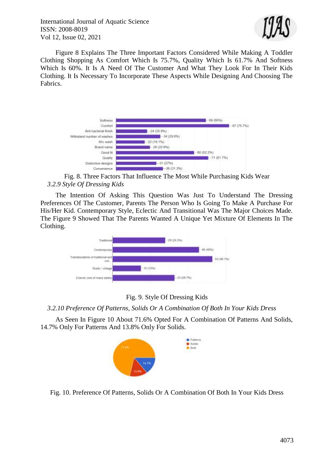

Figure 8 Explains The Three Important Factors Considered While Making A Toddler Clothing Shopping As Comfort Which Is 75.7%, Quality Which Is 61.7% And Softness Which Is 60%. It Is A Need Of The Customer And What They Look For In Their Kids Clothing. It Is Necessary To Incorporate These Aspects While Designing And Choosing The Fabrics.



Fig. 8. Three Factors That Influence The Most While Purchasing Kids Wear *3.2.9 Style Of Dressing Kids*

The Intention Of Asking This Question Was Just To Understand The Dressing Preferences Of The Customer, Parents The Person Who Is Going To Make A Purchase For His/Her Kid. Contemporary Style, Eclectic And Transitional Was The Major Choices Made. The Figure 9 Showed That The Parents Wanted A Unique Yet Mixture Of Elements In The Clothing.



Fig. 9. Style Of Dressing Kids

*3.2.10 Preference Of Patterns, Solids Or A Combination Of Both In Your Kids Dress*

As Seen In Figure 10 About 71.6% Opted For A Combination Of Patterns And Solids, 14.7% Only For Patterns And 13.8% Only For Solids.



Fig. 10. Preference Of Patterns, Solids Or A Combination Of Both In Your Kids Dress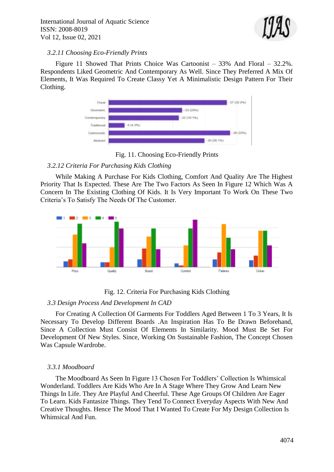

#### *3.2.11 Choosing Eco-Friendly Prints*

Figure 11 Showed That Prints Choice Was Cartoonist – 33% And Floral – 32.2%. Respondents Liked Geometric And Contemporary As Well. Since They Preferred A Mix Of Elements, It Was Required To Create Classy Yet A Minimalistic Design Pattern For Their Clothing.



Fig. 11. Choosing Eco-Friendly Prints

# *3.2.12 Criteria For Purchasing Kids Clothing*

While Making A Purchase For Kids Clothing, Comfort And Quality Are The Highest Priority That Is Expected. These Are The Two Factors As Seen In Figure 12 Which Was A Concern In The Existing Clothing Of Kids. It Is Very Important To Work On These Two Criteria's To Satisfy The Needs Of The Customer.



# Fig. 12. Criteria For Purchasing Kids Clothing

#### *3.3 Design Process And Development In CAD*

For Creating A Collection Of Garments For Toddlers Aged Between 1 To 3 Years, It Is Necessary To Develop Different Boards .An Inspiration Has To Be Drawn Beforehand, Since A Collection Must Consist Of Elements In Similarity. Mood Must Be Set For Development Of New Styles. Since, Working On Sustainable Fashion, The Concept Chosen Was Capsule Wardrobe.

#### *3.3.1 Moodboard*

The Moodboard As Seen In Figure 13 Chosen For Toddlers' Collection Is Whimsical Wonderland. Toddlers Are Kids Who Are In A Stage Where They Grow And Learn New Things In Life. They Are Playful And Cheerful. These Age Groups Of Children Are Eager To Learn. Kids Fantasize Things. They Tend To Connect Everyday Aspects With New And Creative Thoughts. Hence The Mood That I Wanted To Create For My Design Collection Is Whimsical And Fun.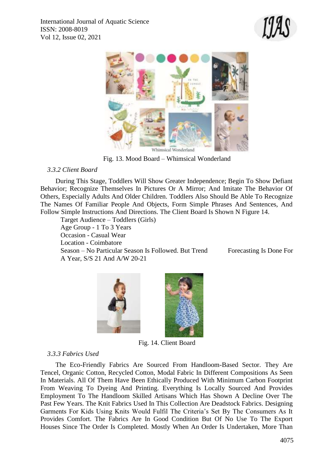



Fig. 13. Mood Board – Whimsical Wonderland

## *3.3.2 Client Board*

During This Stage, Toddlers Will Show Greater Independence; Begin To Show Defiant Behavior; Recognize Themselves In Pictures Or A Mirror; And Imitate The Behavior Of Others, Especially Adults And Older Children. Toddlers Also Should Be Able To Recognize The Names Of Familiar People And Objects, Form Simple Phrases And Sentences, And Follow Simple Instructions And Directions. The Client Board Is Shown N Figure 14.

Target Audience – Toddlers (Girls) Age Group - 1 To 3 Years Occasion - Casual Wear Location - Coimbatore Season – No Particular Season Is Followed. But Trend Forecasting Is Done For A Year, S/S 21 And A/W 20-21



Fig. 14. Client Board

#### *3.3.3 Fabrics Used*

The Eco-Friendly Fabrics Are Sourced From Handloom-Based Sector. They Are Tencel, Organic Cotton, Recycled Cotton, Modal Fabric In Different Compositions As Seen In Materials. All Of Them Have Been Ethically Produced With Minimum Carbon Footprint From Weaving To Dyeing And Printing. Everything Is Locally Sourced And Provides Employment To The Handloom Skilled Artisans Which Has Shown A Decline Over The Past Few Years. The Knit Fabrics Used In This Collection Are Deadstock Fabrics. Designing Garments For Kids Using Knits Would Fulfil The Criteria's Set By The Consumers As It Provides Comfort. The Fabrics Are In Good Condition But Of No Use To The Export Houses Since The Order Is Completed. Mostly When An Order Is Undertaken, More Than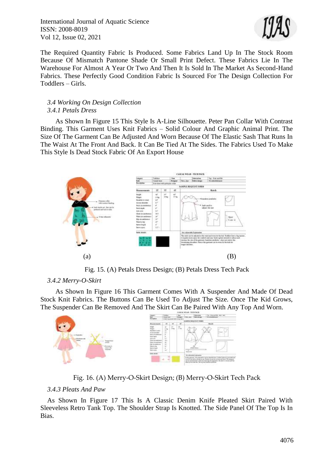

The Required Quantity Fabric Is Produced. Some Fabrics Land Up In The Stock Room Because Of Mismatch Pantone Shade Or Small Print Defect. These Fabrics Lie In The Warehouse For Almost A Year Or Two And Then It Is Sold In The Market As Second-Hand Fabrics. These Perfectly Good Condition Fabric Is Sourced For The Design Collection For Toddlers – Girls.

#### *3.4 Working On Design Collection 3.4.1 Petals Dress*

As Shown In Figure 15 This Style Is A-Line Silhouette. Peter Pan Collar With Contrast Binding. This Garment Uses Knit Fabrics – Solid Colour And Graphic Animal Print. The Size Of The Garment Can Be Adjusted And Worn Because Of The Elastic Sash That Runs In The Waist At The Front And Back. It Can Be Tied At The Sides. The Fabrics Used To Make This Style Is Dead Stock Fabric Of An Export House



Fig. 15. (A) Petals Dress Design; (B) Petals Dress Tech Pack

# *3.4.2 Merry-O-Skirt*

As Shown In Figure 16 This Garment Comes With A Suspender And Made Of Dead Stock Knit Fabrics. The Buttons Can Be Used To Adjust The Size. Once The Kid Grows, The Suspender Can Be Removed And The Skirt Can Be Paired With Any Top And Worn.



Fig. 16. (A) Merry-O-Skirt Design; (B) Merry-O-Skirt Tech Pack

#### *3.4.3 Pleats And Paw*

As Shown In Figure 17 This Is A Classic Denim Knife Pleated Skirt Paired With Sleeveless Retro Tank Top. The Shoulder Strap Is Knotted. The Side Panel Of The Top Is In Bias.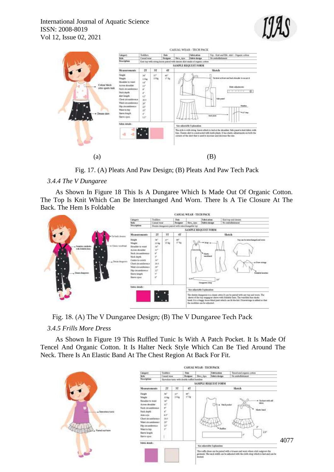



Fig. 17. (A) Pleats And Paw Design; (B) Pleats And Paw Tech Pack

## *3.4.4 The V Dungaree*

As Shown In Figure 18 This Is A Dungaree Which Is Made Out Of Organic Cotton. The Top Is Knit Which Can Be Interchanged And Worn. There Is A Tie Closure At The Back. The Hem Is Foldable



Fig. 18. (A) The V Dungaree Design; (B) The V Dungaree Tech Pack

# *3.4.5 Frills More Dress*

As Shown In Figure 19 This Ruffled Tunic Is With A Patch Pocket. It Is Made Of Tencel And Organic Cotton. It Is Halter Neck Style Which Can Be Tied Around The Neck. There Is An Elastic Band At The Chest Region At Back For Fit.

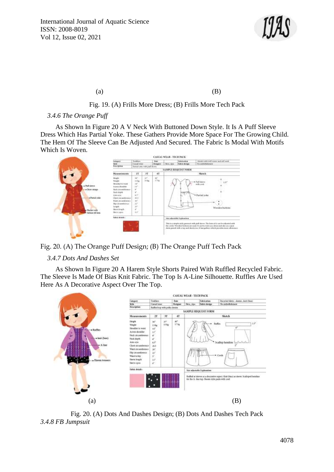

 $(a)$  (B)

## Fig. 19. (A) Frills More Dress; (B) Frills More Tech Pack

#### *3.4.6 The Orange Puff*

As Shown In Figure 20 A V Neck With Buttoned Down Style. It Is A Puff Sleeve Dress Which Has Partial Yoke. These Gathers Provide More Space For The Growing Child. The Hem Of The Sleeve Can Be Adjusted And Secured. The Fabric Is Modal With Motifs Which Is Woven.



Fig. 20. (A) The Orange Puff Design; (B) The Orange Puff Tech Pack

#### *3.4.7 Dots And Dashes Set*

As Shown In Figure 20 A Harem Style Shorts Paired With Ruffled Recycled Fabric. The Sleeve Is Made Of Bias Knit Fabric. The Top Is A-Line Silhouette. Ruffles Are Used Here As A Decorative Aspect Over The Top.



Fig. 20. (A) Dots And Dashes Design; (B) Dots And Dashes Tech Pack *3.4.8 FB Jumpsuit*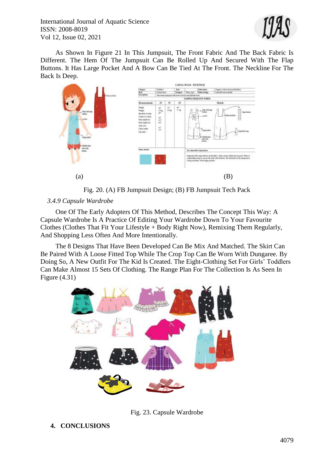

As Shown In Figure 21 In This Jumpsuit, The Front Fabric And The Back Fabric Is Different. The Hem Of The Jumpsuit Can Be Rolled Up And Secured With The Flap Buttons. It Has Large Pocket And A Bow Can Be Tied At The Front. The Neckline For The Back Is Deep.



Fig. 20. (A) FB Jumpsuit Design; (B) FB Jumpsuit Tech Pack

## *3.4.9 Capsule Wardrobe*

One Of The Early Adopters Of This Method, Describes The Concept This Way: A Capsule Wardrobe Is A Practice Of Editing Your Wardrobe Down To Your Favourite Clothes (Clothes That Fit Your Lifestyle + Body Right Now), Remixing Them Regularly, And Shopping Less Often And More Intentionally.

The 8 Designs That Have Been Developed Can Be Mix And Matched. The Skirt Can Be Paired With A Loose Fitted Top While The Crop Top Can Be Worn With Dungaree. By Doing So, A New Outfit For The Kid Is Created. The Eight-Clothing Set For Girls' Toddlers Can Make Almost 15 Sets Of Clothing. The Range Plan For The Collection Is As Seen In Figure (4.31)



Fig. 23. Capsule Wardrobe